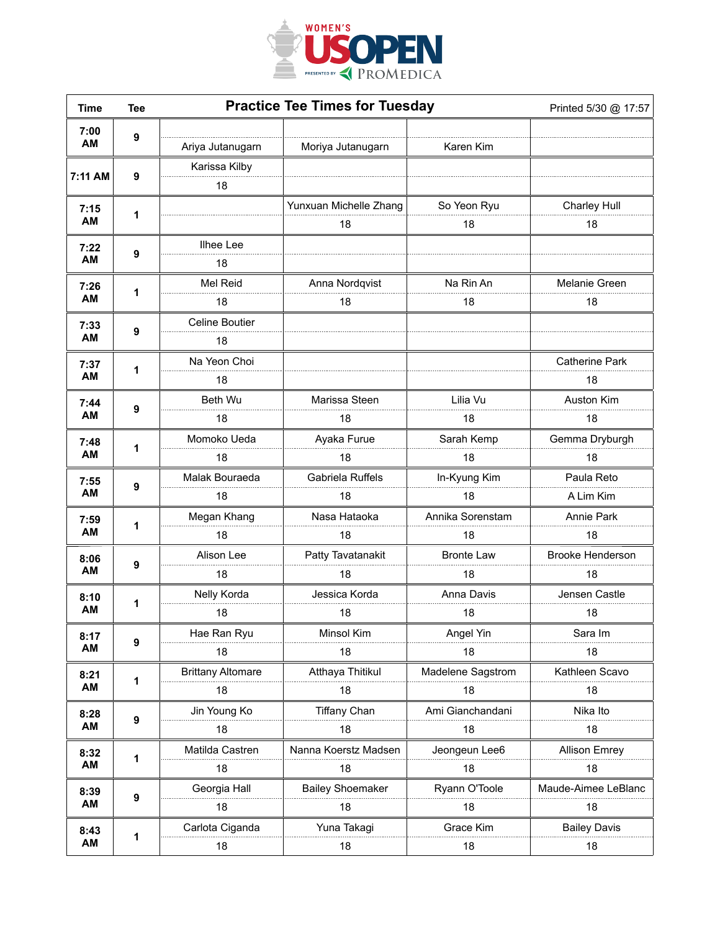

| <b>Time</b>       | <b>Tee</b>       | <b>Practice Tee Times for Tuesday</b> |                         |                   | Printed 5/30 @ 17:57    |
|-------------------|------------------|---------------------------------------|-------------------------|-------------------|-------------------------|
| 7:00<br>AM        | 9                | Ariya Jutanugarn                      | Moriya Jutanugarn       | Karen Kim         |                         |
| 7:11 AM           |                  | Karissa Kilby                         |                         |                   |                         |
|                   | 9                | 18                                    |                         |                   |                         |
| 7:15<br>AM        | 1                |                                       | Yunxuan Michelle Zhang  | So Yeon Ryu       | <b>Charley Hull</b>     |
|                   |                  |                                       | 18                      | 18                | 18                      |
| 7:22<br>AM        | 9                | Ilhee Lee                             |                         |                   |                         |
|                   |                  | 18                                    |                         |                   |                         |
| 7:26<br>AM        | 1                | Mel Reid                              | Anna Nordqvist          | Na Rin An         | Melanie Green           |
|                   |                  | 18                                    | 18                      | 18                | 18                      |
| 7:33              |                  | <b>Celine Boutier</b>                 |                         |                   |                         |
| AM                | 9                | 18                                    |                         |                   |                         |
| 7:37              |                  | Na Yeon Choi                          |                         |                   | <b>Catherine Park</b>   |
| AM                | 1                | 18                                    |                         |                   | 18                      |
| 7:44              |                  | Beth Wu                               | Marissa Steen           | Lilia Vu          | Auston Kim              |
| AM                | 9                | 18                                    | 18                      | 18                | 18                      |
| 7:48              | 1                | Momoko Ueda                           | Ayaka Furue             | Sarah Kemp        | Gemma Dryburgh          |
| AM                |                  | 18                                    | 18                      | 18                | 18                      |
| 7:55              |                  | Malak Bouraeda                        | Gabriela Ruffels        | In-Kyung Kim      | Paula Reto              |
| AM                | 9                | 18                                    | 18                      | 18                | A Lim Kim               |
| 7:59              |                  | Megan Khang                           | Nasa Hataoka            | Annika Sorenstam  | Annie Park              |
| AM                | 1                | 18                                    | 18                      | 18                | 18                      |
| 8:06              | 9                | Alison Lee                            | Patty Tavatanakit       | <b>Bronte Law</b> | <b>Brooke Henderson</b> |
| AM                |                  | 18                                    | 18                      | 18                | 18                      |
| 8:10<br><b>AM</b> |                  | Nelly Korda                           | Jessica Korda           | Anna Davis        | Jensen Castle           |
|                   | 1                | 18                                    | 18                      | 18                | 18                      |
| 8:17<br>AM        |                  | Hae Ran Ryu                           | Minsol Kim              | Angel Yin         | Sara Im                 |
|                   | 9                | 18                                    | 18                      | 18                | 18                      |
| 8:21<br>AM        | 1                | <b>Brittany Altomare</b>              | Atthaya Thitikul        | Madelene Sagstrom | Kathleen Scavo          |
|                   |                  | 18                                    | 18                      | 18                | 18                      |
| 8:28<br>AM        | $\boldsymbol{9}$ | Jin Young Ko                          | <b>Tiffany Chan</b>     | Ami Gianchandani  | Nika Ito                |
|                   |                  | 18                                    | 18                      | 18                | 18                      |
| 8:32<br>AM        | 1                | Matilda Castren                       | Nanna Koerstz Madsen    | Jeongeun Lee6     | <b>Allison Emrey</b>    |
|                   |                  | 18                                    | 18                      | 18                | 18                      |
| 8:39<br>AM        | $\boldsymbol{9}$ | Georgia Hall                          | <b>Bailey Shoemaker</b> | Ryann O'Toole     | Maude-Aimee LeBlanc     |
|                   |                  | 18                                    | 18                      | 18                | 18                      |
| 8:43<br>AM        |                  | Carlota Ciganda                       | Yuna Takagi             | Grace Kim         | <b>Bailey Davis</b>     |
|                   | 1                | 18                                    | 18                      | 18                | 18                      |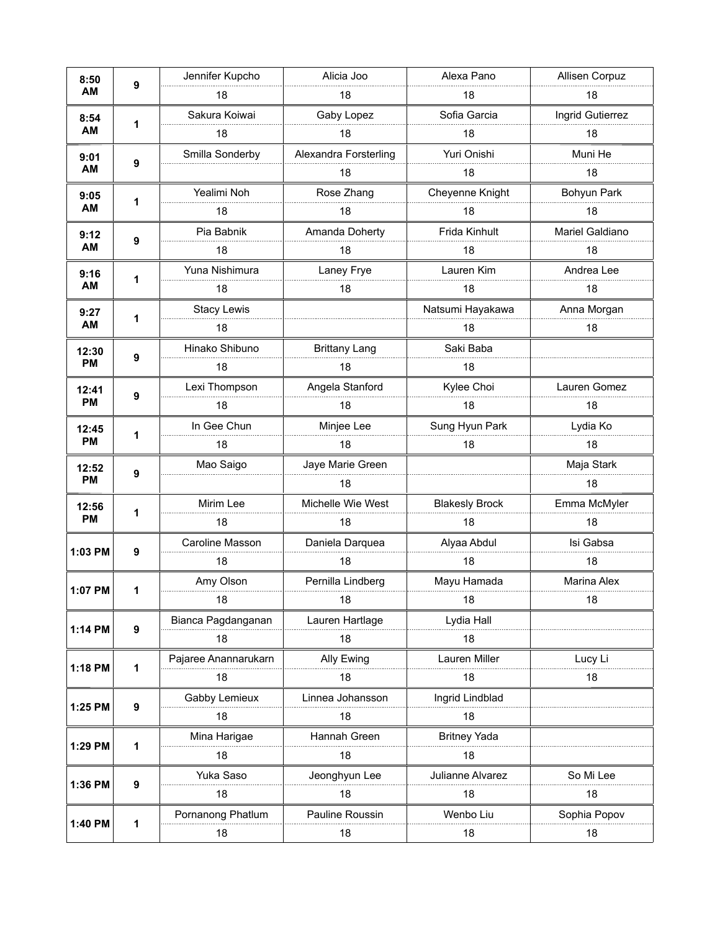| 8:50<br>AM         | 9 | Jennifer Kupcho      | Alicia Joo            | Alexa Pano            | Allisen Corpuz     |
|--------------------|---|----------------------|-----------------------|-----------------------|--------------------|
|                    |   | 18                   | 18                    | 18                    | 18                 |
| 8:54<br>AM         |   | Sakura Koiwai        | Gaby Lopez            | Sofia Garcia          | Ingrid Gutierrez   |
|                    | 1 | 18                   | 18                    | 18                    | 18                 |
| 9:01<br>AM         |   | Smilla Sonderby      | Alexandra Forsterling | Yuri Onishi           | Muni He            |
|                    | 9 |                      | 18                    | 18                    | 18                 |
| 9:05<br><b>AM</b>  | 1 | Yealimi Noh          | Rose Zhang            | Cheyenne Knight       | Bohyun Park        |
|                    |   | 18                   | 18                    | 18                    | 18                 |
| 9:12<br>AM         | 9 | Pia Babnik           | Amanda Doherty        | Frida Kinhult         | Mariel Galdiano    |
|                    |   | 18                   | 18                    | 18                    | 18                 |
| 9:16               |   | Yuna Nishimura       | Laney Frye            | Lauren Kim            | Andrea Lee         |
| <b>AM</b>          | 1 | 18                   | 18                    | 18                    | 18                 |
| 9:27<br>AM         |   | <b>Stacy Lewis</b>   |                       | Natsumi Hayakawa      | Anna Morgan        |
|                    | 1 | 18                   |                       | 18                    | 18                 |
| 12:30<br><b>PM</b> |   | Hinako Shibuno       | <b>Brittany Lang</b>  | Saki Baba             |                    |
|                    | 9 | 18                   | 18                    | 18                    |                    |
| 12:41<br><b>PM</b> |   | Lexi Thompson        | Angela Stanford       | Kylee Choi            | Lauren Gomez       |
|                    | 9 | 18                   | 18                    | 18                    | 18                 |
| 12:45              |   | In Gee Chun          | Minjee Lee            | Sung Hyun Park        | Lydia Ko           |
| <b>PM</b>          | 1 | 18                   | 18                    | 18                    | 18                 |
| 12:52              | 9 | Mao Saigo            | Jaye Marie Green      |                       | Maja Stark         |
| <b>PM</b>          |   |                      | 18                    |                       | 18                 |
| 12:56              | 1 | Mirim Lee            | Michelle Wie West     | <b>Blakesly Brock</b> | Emma McMyler       |
| <b>PM</b>          |   | 18                   | 18                    | 18                    | 18                 |
|                    |   | Caroline Masson      | Daniela Darquea       | Alyaa Abdul           | Isi Gabsa          |
| 1:03 PM            | 9 | 18                   | 18                    | 18                    | 18                 |
|                    |   | Amy Olson            | Pernilla Lindberg     | Mayu Hamada           | <b>Marina Alex</b> |
| 1:07 PM            | 1 | 18                   | 18                    | 18                    | 18                 |
| 1:14 PM            | 9 | Bianca Pagdanganan   | Lauren Hartlage       | Lydia Hall            |                    |
|                    |   | 18                   | 18                    | 18                    |                    |
| 1:18 PM            | 1 | Pajaree Anannarukarn | Ally Ewing            | Lauren Miller         | Lucy Li            |
|                    |   | 18                   | 18                    | 18                    | 18                 |
| 1:25 PM            | 9 | Gabby Lemieux        | Linnea Johansson      | Ingrid Lindblad       |                    |
|                    |   | 18                   | 18                    | 18                    |                    |
| 1:29 PM            | 1 | Mina Harigae         | Hannah Green          | <b>Britney Yada</b>   |                    |
|                    |   | 18                   | 18                    | 18                    |                    |
| 1:36 PM            | 9 | Yuka Saso            | Jeonghyun Lee         | Julianne Alvarez      | So Mi Lee          |
|                    |   | 18                   | 18                    | 18                    | 18                 |
| 1:40 PM            |   | Pornanong Phatlum    | Pauline Roussin       | Wenbo Liu             | Sophia Popov       |
|                    | 1 | 18                   | 18                    | 18                    | 18                 |